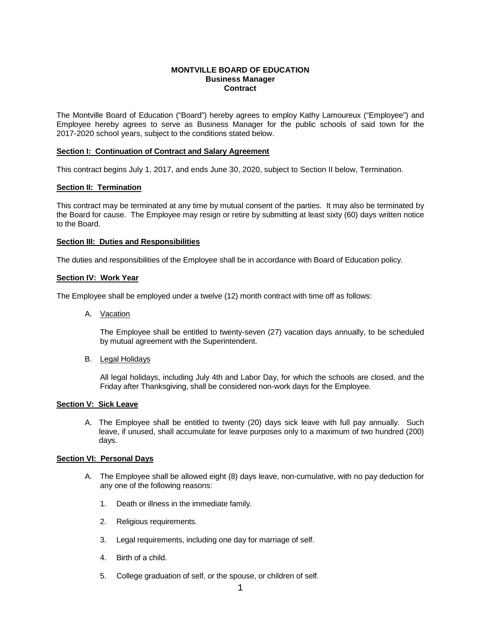#### **MONTVILLE BOARD OF EDUCATION Business Manager Contract**

The Montville Board of Education ("Board") hereby agrees to employ Kathy Lamoureux ("Employee") and Employee hereby agrees to serve as Business Manager for the public schools of said town for the 2017-2020 school years, subject to the conditions stated below.

## **Section I: Continuation of Contract and Salary Agreement**

This contract begins July 1, 2017, and ends June 30, 2020, subject to Section II below, Termination.

## **Section II: Termination**

This contract may be terminated at any time by mutual consent of the parties. It may also be terminated by the Board for cause. The Employee may resign or retire by submitting at least sixty (60) days written notice to the Board.

## **Section III: Duties and Responsibilities**

The duties and responsibilities of the Employee shall be in accordance with Board of Education policy.

#### **Section IV: Work Year**

The Employee shall be employed under a twelve (12) month contract with time off as follows:

A. Vacation

The Employee shall be entitled to twenty-seven (27) vacation days annually, to be scheduled by mutual agreement with the Superintendent.

#### B. Legal Holidays

All legal holidays, including July 4th and Labor Day, for which the schools are closed, and the Friday after Thanksgiving, shall be considered non-work days for the Employee.

## **Section V: Sick Leave**

A. The Employee shall be entitled to twenty (20) days sick leave with full pay annually. Such leave, if unused, shall accumulate for leave purposes only to a maximum of two hundred (200) days.

#### **Section VI: Personal Days**

- A. The Employee shall be allowed eight (8) days leave, non-cumulative, with no pay deduction for any one of the following reasons:
	- 1. Death or illness in the immediate family.
	- 2. Religious requirements.
	- 3. Legal requirements, including one day for marriage of self.
	- 4. Birth of a child.
	- 5. College graduation of self, or the spouse, or children of self.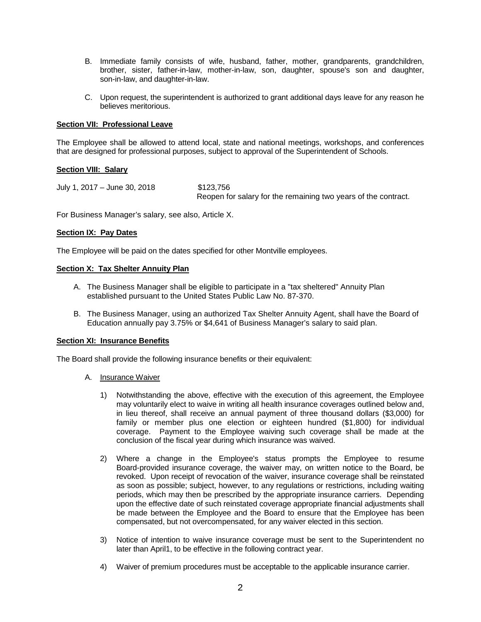- B. Immediate family consists of wife, husband, father, mother, grandparents, grandchildren, brother, sister, father-in-law, mother-in-law, son, daughter, spouse's son and daughter, son-in-law, and daughter-in-law.
- C. Upon request, the superintendent is authorized to grant additional days leave for any reason he believes meritorious.

## **Section VII: Professional Leave**

The Employee shall be allowed to attend local, state and national meetings, workshops, and conferences that are designed for professional purposes, subject to approval of the Superintendent of Schools.

#### **Section VIII: Salary**

July 1, 2017 – June 30, 2018 \$123,756 Reopen for salary for the remaining two years of the contract.

For Business Manager's salary, see also, Article X.

#### **Section IX: Pay Dates**

The Employee will be paid on the dates specified for other Montville employees.

## **Section X: Tax Shelter Annuity Plan**

- A. The Business Manager shall be eligible to participate in a "tax sheltered" Annuity Plan established pursuant to the United States Public Law No. 87-370.
- B. The Business Manager, using an authorized Tax Shelter Annuity Agent, shall have the Board of Education annually pay 3.75% or \$4,641 of Business Manager's salary to said plan.

#### **Section XI: Insurance Benefits**

The Board shall provide the following insurance benefits or their equivalent:

- A. Insurance Waiver
	- 1) Notwithstanding the above, effective with the execution of this agreement, the Employee may voluntarily elect to waive in writing all health insurance coverages outlined below and, in lieu thereof, shall receive an annual payment of three thousand dollars (\$3,000) for family or member plus one election or eighteen hundred (\$1,800) for individual coverage. Payment to the Employee waiving such coverage shall be made at the conclusion of the fiscal year during which insurance was waived.
	- 2) Where a change in the Employee's status prompts the Employee to resume Board-provided insurance coverage, the waiver may, on written notice to the Board, be revoked. Upon receipt of revocation of the waiver, insurance coverage shall be reinstated as soon as possible; subject, however, to any regulations or restrictions, including waiting periods, which may then be prescribed by the appropriate insurance carriers. Depending upon the effective date of such reinstated coverage appropriate financial adjustments shall be made between the Employee and the Board to ensure that the Employee has been compensated, but not overcompensated, for any waiver elected in this section.
	- 3) Notice of intention to waive insurance coverage must be sent to the Superintendent no later than April1, to be effective in the following contract year.
	- 4) Waiver of premium procedures must be acceptable to the applicable insurance carrier.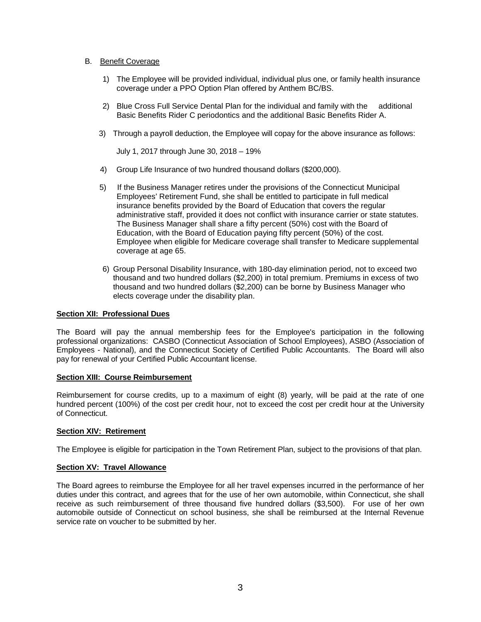## B. Benefit Coverage

- 1) The Employee will be provided individual, individual plus one, or family health insurance coverage under a PPO Option Plan offered by Anthem BC/BS.
- 2) Blue Cross Full Service Dental Plan for the individual and family with the additional Basic Benefits Rider C periodontics and the additional Basic Benefits Rider A.
- 3) Through a payroll deduction, the Employee will copay for the above insurance as follows:

July 1, 2017 through June 30, 2018 – 19%

- 4) Group Life Insurance of two hundred thousand dollars (\$200,000).
- 5) If the Business Manager retires under the provisions of the Connecticut Municipal Employees' Retirement Fund, she shall be entitled to participate in full medical insurance benefits provided by the Board of Education that covers the regular administrative staff, provided it does not conflict with insurance carrier or state statutes. The Business Manager shall share a fifty percent (50%) cost with the Board of Education, with the Board of Education paying fifty percent (50%) of the cost. Employee when eligible for Medicare coverage shall transfer to Medicare supplemental coverage at age 65.
- 6) Group Personal Disability Insurance, with 180-day elimination period, not to exceed two thousand and two hundred dollars (\$2,200) in total premium. Premiums in excess of two thousand and two hundred dollars (\$2,200) can be borne by Business Manager who elects coverage under the disability plan.

## **Section XII: Professional Dues**

The Board will pay the annual membership fees for the Employee's participation in the following professional organizations: CASBO (Connecticut Association of School Employees), ASBO (Association of Employees - National), and the Connecticut Society of Certified Public Accountants. The Board will also pay for renewal of your Certified Public Accountant license.

## **Section XIII: Course Reimbursement**

Reimbursement for course credits, up to a maximum of eight (8) yearly, will be paid at the rate of one hundred percent (100%) of the cost per credit hour, not to exceed the cost per credit hour at the University of Connecticut.

## **Section XIV: Retirement**

The Employee is eligible for participation in the Town Retirement Plan, subject to the provisions of that plan.

## **Section XV: Travel Allowance**

The Board agrees to reimburse the Employee for all her travel expenses incurred in the performance of her duties under this contract, and agrees that for the use of her own automobile, within Connecticut, she shall receive as such reimbursement of three thousand five hundred dollars (\$3,500). For use of her own automobile outside of Connecticut on school business, she shall be reimbursed at the Internal Revenue service rate on voucher to be submitted by her.